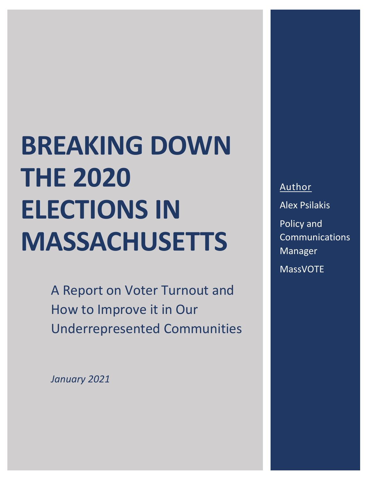A Report on Voter Turnout and How to Improve it in Our Underrepresented Communities

*January 2021*

Author Alex Psilakis Policy and Communications Manager MassVOTE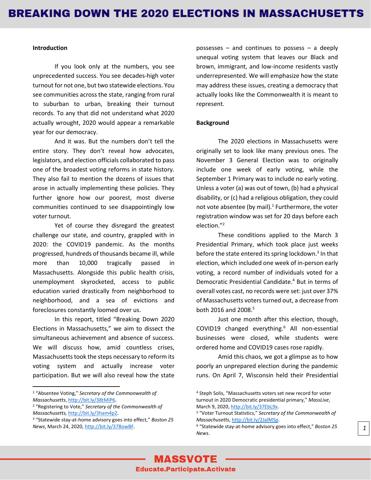#### **Introduction**

If you look only at the numbers, you see unprecedented success. You see decades-high voter turnout for not one, but two statewide elections. You see communities across the state, ranging from rural to suburban to urban, breaking their turnout records. To any that did not understand what 2020 actually wrought, 2020 would appear a remarkable year for our democracy.

And it was. But the numbers don't tell the entire story. They don't reveal how advocates, legislators, and election officials collaborated to pass one of the broadest voting reforms in state history. They also fail to mention the dozens of issues that arose in actually implementing these policies. They further ignore how our poorest, most diverse communities continued to see disappointingly low voter turnout.

Yet of course they disregard the greatest challenge our state, and country, grappled with in 2020: the COVID19 pandemic. As the months progressed, hundreds of thousands became ill, while more than 10,000 tragically passed in Massachusetts. Alongside this public health crisis, unemployment skyrocketed, access to public education varied drastically from neighborhood to neighborhood, and a sea of evictions and foreclosures constantly loomed over us.

In this report, titled "Breaking Down 2020 Elections in Massachusetts," we aim to dissect the simultaneous achievement and absence of success. We will discuss how, amid countless crises, Massachusetts took the steps necessary to reform its voting system and actually increase voter participation. But we will also reveal how the state

<sup>1</sup> "Absentee Voting," *Secretary of the Commonwealth of Massachusetts*[, http://bit.ly/38tMiP6.](http://bit.ly/38tMiP6)

possesses – and continues to possess – a deeply unequal voting system that leaves our Black and brown, immigrant, and low-income residents vastly underrepresented. We will emphasize how the state may address these issues, creating a democracy that actually looks like the Commonwealth it is meant to represent.

#### **Background**

The 2020 elections in Massachusetts were originally set to look like many previous ones. The November 3 General Election was to originally include one week of early voting, while the September 1 Primary was to include no early voting. Unless a voter (a) was out of town, (b) had a physical disability, or (c) had a religious obligation, they could not vote absentee (by mail).<sup>1</sup> Furthermore, the voter registration window was set for 20 days before each election." 2

These conditions applied to the March 3 Presidential Primary, which took place just weeks before the state entered its spring lockdown.<sup>3</sup> In that election, which included one week of in-person early voting, a record number of individuals voted for a Democratic Presidential Candidate. <sup>4</sup> But in terms of overall votes cast, no records were set: just over 37% of Massachusetts voters turned out, a decrease from both 2016 and 2008.<sup>5</sup>

Just one month after this election, though, COVID19 changed everything. <sup>6</sup> All non-essential businesses were closed, while students were ordered home and COVID19 cases rose rapidly.

Amid this chaos, we got a glimpse as to how poorly an unprepared election during the pandemic runs. On April 7, Wisconsin held their Presidential

<sup>2</sup> "Registering to Vote," *Secretary of the Commonwealth of Massachusetts,* [http://bit.ly/3ham4p2.](http://bit.ly/3ham4p2)

<sup>3</sup> "Statewide stay-at-home advisory goes into effect," *Boston 25 News*, March 24, 2020, [http://bit.ly/37BowBF.](http://bit.ly/37BowBF)

<sup>4</sup> Steph Solis, "Massachusetts voters set new record for voter turnout in 2020 Democratic presidential primary," *MassLive*, March 9, 2020[, http://bit.ly/37EbL9x.](http://bit.ly/37EbL9x)

<sup>5</sup> "Voter Turnout Statistics," *Secretary of the Commonwealth of Massachusetts*[, http://bit.ly/2JalMSp.](http://bit.ly/2JalMSp) 

<sup>6</sup> "Statewide stay-at-home advisory goes into effect," *Boston 25 News*.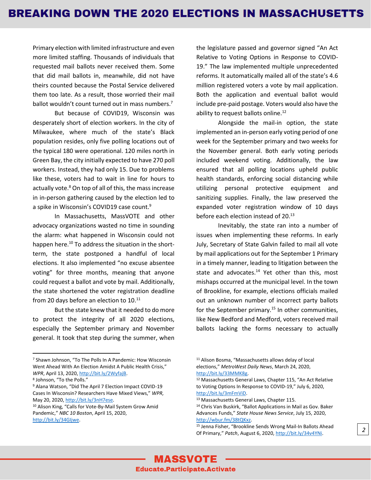Primary election with limited infrastructure and even more limited staffing. Thousands of individuals that requested mail ballots never received them. Some that did mail ballots in, meanwhile, did not have theirs counted because the Postal Service delivered them too late. As a result, those worried their mail ballot wouldn't count turned out in mass numbers.<sup>7</sup>

But because of COVID19, Wisconsin was desperately short of election workers. In the city of Milwaukee, where much of the state's Black population resides, only five polling locations out of the typical 180 were operational. 120 miles north in Green Bay, the city initially expected to have 270 poll workers. Instead, they had only 15. Due to problems like these, voters had to wait in line for hours to actually vote. $8$  On top of all of this, the mass increase in in-person gathering caused by the election led to a spike in Wisconsin's COVID19 case count.<sup>9</sup>

In Massachusetts, MassVOTE and other advocacy organizations wasted no time in sounding the alarm: what happened in Wisconsin could not happen here.<sup>10</sup> To address the situation in the shortterm, the state postponed a handful of local elections. It also implemented "no excuse absentee voting" for three months, meaning that anyone could request a ballot and vote by mail. Additionally, the state shortened the voter registration deadline from 20 days before an election to  $10.^{11}$ 

But the state knew that it needed to do more to protect the integrity of all 2020 elections, especially the September primary and November general. It took that step during the summer, when the legislature passed and governor signed "An Act Relative to Voting Options in Response to COVID-19." The law implemented multiple unprecedented reforms. It automatically mailed all of the state's 4.6 million registered voters a vote by mail application. Both the application and eventual ballot would include pre-paid postage. Voters would also have the ability to request ballots online.<sup>12</sup>

Alongside the mail-in option, the state implemented an in-person early voting period of one week for the September primary and two weeks for the November general. Both early voting periods included weekend voting. Additionally, the law ensured that all polling locations upheld public health standards, enforcing social distancing while utilizing personal protective equipment and sanitizing supplies. Finally, the law preserved the expanded voter registration window of 10 days before each election instead of 20.<sup>13</sup>

Inevitably, the state ran into a number of issues when implementing these reforms. In early July, Secretary of State Galvin failed to mail all vote by mail applications out for the September 1 Primary in a timely manner, leading to litigation between the state and advocates. $14$  Yet other than this, most mishaps occurred at the municipal level. In the town of Brookline, for example, elections officials mailed out an unknown number of incorrect party ballots for the September primary. $15$  In other communities, like New Bedford and Medford, voters received mail ballots lacking the forms necessary to actually

<sup>7</sup> Shawn Johnson, "To The Polls In A Pandemic: How Wisconsin Went Ahead With An Election Amidst A Public Health Crisis," *WPR*, April 13, 2020, [http://bit.ly/2WyfajB.](http://bit.ly/2WyfajB) 

<sup>8</sup> Johnson, "To the Polls."

<sup>9</sup> Alana Watson, "Did The April 7 Election Impact COVID-19 Cases In Wisconsin? Researchers Have Mixed Views," *WPR,* May 20, 2020, [http://bit.ly/3nH7ese.](http://bit.ly/3nH7ese)

<sup>10</sup> Alison King, "Calls for Vote-By-Mail System Grow Amid Pandemic," *NBC 10 Boston*, April 15, 2020, [http://bit.ly/34GIjwe.](http://bit.ly/34GIjwe) 

<sup>11</sup> Alison Bosma, "Massachusetts allows delay of local elections," *MetroWest Daily News*, March 24, 2020, [http://bit.ly/33MMK8g.](http://bit.ly/33MMK8g) 

<sup>12</sup> Massachusetts General Laws, Chapter 115, "An Act Relative to Voting Options In Response to COVID-19," July 6, 2020, [http://bit.ly/3mFmViD.](http://bit.ly/3mFmViD) 

<sup>13</sup> Massachusetts General Laws, Chapter 115.

<sup>14</sup> Chris Van Buskirk, "Ballot Applications in Mail as Gov. Baker Advances Funds," *State House News Service*, July 15, 2020, [http://wbur.fm/38tQKxz.](http://wbur.fm/38tQKxz)

<sup>15</sup> Jenna Fisher, "Brookline Sends Wrong Mail-In Ballots Ahead Of Primary," *Patch*, August 6, 2020[, http://bit.ly/34v4YNi.](http://bit.ly/34v4YNi)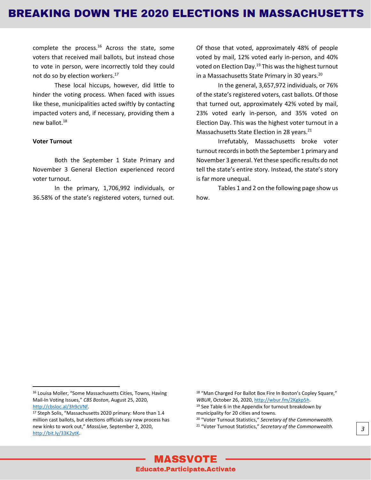complete the process.<sup>16</sup> Across the state, some voters that received mail ballots, but instead chose to vote in person, were incorrectly told they could not do so by election workers.<sup>17</sup>

These local hiccups, however, did little to hinder the voting process. When faced with issues like these, municipalities acted swiftly by contacting impacted voters and, if necessary, providing them a new ballot.<sup>18</sup>

#### **Voter Turnout**

Both the September 1 State Primary and November 3 General Election experienced record voter turnout.

In the primary, 1,706,992 individuals, or 36.58% of the state's registered voters, turned out. Of those that voted, approximately 48% of people voted by mail, 12% voted early in-person, and 40% voted on Election Day.<sup>19</sup> This was the highest turnout in a Massachusetts State Primary in 30 years.<sup>20</sup>

In the general, 3,657,972 individuals, or 76% of the state's registered voters, cast ballots. Of those that turned out, approximately 42% voted by mail, 23% voted early in-person, and 35% voted on Election Day. This was the highest voter turnout in a Massachusetts State Election in 28 years.<sup>21</sup>

Irrefutably, Massachusetts broke voter turnout records in both the September 1 primary and November 3 general. Yet these specific results do not tell the state's entire story. Instead, the state's story is far more unequal.

Tables 1 and 2 on the following page show us how.

<sup>18</sup> "Man Charged For Ballot Box Fire In Boston's Copley Square," *WBUR*, October 26, 2020[, http://wbur.fm/2Kgkp5h.](http://wbur.fm/2Kgkp5h)  $19$  See Table 6 in the Appendix for turnout breakdown by

municipality for 20 cities and towns.

<sup>20</sup> "Voter Turnout Statistics," *Secretary of the Commonwealth.* <sup>21</sup> "Voter Turnout Statistics," *Secretary of the Commonwealth. 3*

<sup>16</sup> Louisa Moller, "Some Massachusetts Cities, Towns, Having Mail-In Voting Issues," *CBS Boston*, August 25, 2020, [http://cbsloc.al/3h9cVNf.](http://cbsloc.al/3h9cVNf)

<sup>17</sup> Steph Solis, "Massachusetts 2020 primary: More than 1.4 million cast ballots, but elections officials say new process has new kinks to work out," *MassLive*, September 2, 2020, [http://bit.ly/33K2ytK.](http://bit.ly/33K2ytK)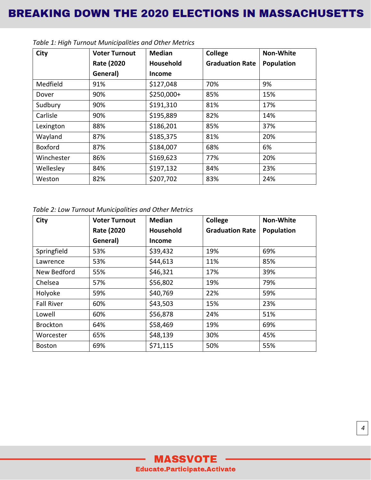| <b>City</b>    | <b>Voter Turnout</b> | <b>Median</b> | College                | <b>Non-White</b>  |
|----------------|----------------------|---------------|------------------------|-------------------|
|                | <b>Rate (2020)</b>   | Household     | <b>Graduation Rate</b> | <b>Population</b> |
|                | General)             | Income        |                        |                   |
| Medfield       | 91%                  | \$127,048     | 70%                    | 9%                |
| Dover          | 90%                  | $$250,000+$   | 85%                    | 15%               |
| Sudbury        | 90%                  | \$191,310     | 81%                    | 17%               |
| Carlisle       | 90%                  | \$195,889     | 82%                    | 14%               |
| Lexington      | 88%                  | \$186,201     | 85%                    | 37%               |
| Wayland        | 87%                  | \$185,375     | 81%                    | 20%               |
| <b>Boxford</b> | 87%                  | \$184,007     | 68%                    | 6%                |
| Winchester     | 86%                  | \$169,623     | 77%                    | 20%               |
| Wellesley      | 84%                  | \$197,132     | 84%                    | 23%               |
| Weston         | 82%                  | \$207,702     | 83%                    | 24%               |

*Table 1: High Turnout Municipalities and Other Metrics*

*Table 2: Low Turnout Municipalities and Other Metrics*

| City              | <b>Voter Turnout</b> | <b>Median</b>    | College                | <b>Non-White</b>  |
|-------------------|----------------------|------------------|------------------------|-------------------|
|                   | <b>Rate (2020)</b>   | <b>Household</b> | <b>Graduation Rate</b> | <b>Population</b> |
|                   | General)             | <b>Income</b>    |                        |                   |
| Springfield       | 53%                  | \$39,432         | 19%                    | 69%               |
| Lawrence          | 53%                  | \$44,613         | 11%                    | 85%               |
| New Bedford       | 55%                  | \$46,321         | 17%                    | 39%               |
| Chelsea           | 57%                  | \$56,802         | 19%                    | 79%               |
| Holyoke           | 59%                  | \$40,769         | 22%                    | 59%               |
| <b>Fall River</b> | 60%                  | \$43,503         | 15%                    | 23%               |
| Lowell            | 60%                  | \$56,878         | 24%                    | 51%               |
| <b>Brockton</b>   | 64%                  | \$58,469         | 19%                    | 69%               |
| Worcester         | 65%                  | \$48,139         | 30%                    | 45%               |
| <b>Boston</b>     | 69%                  | \$71,115         | 50%                    | 55%               |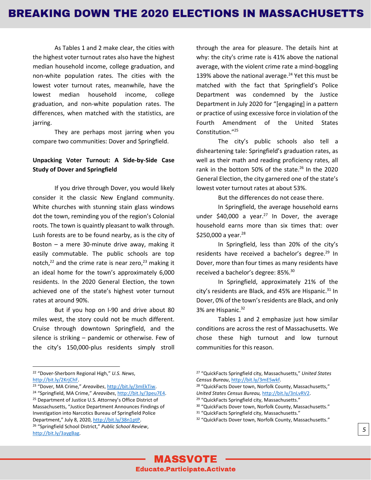As Tables 1 and 2 make clear, the cities with the highest voter turnout rates also have the highest median household income, college graduation, and non-white population rates. The cities with the lowest voter turnout rates, meanwhile, have the lowest median household income, college graduation, and non-white population rates. The differences, when matched with the statistics, are jarring.

They are perhaps most jarring when you compare two communities: Dover and Springfield.

#### **Unpacking Voter Turnout: A Side-by-Side Case Study of Dover and Springfield**

If you drive through Dover, you would likely consider it the classic New England community. White churches with stunning stain glass windows dot the town, reminding you of the region's Colonial roots. The town is quaintly pleasant to walk through. Lush forests are to be found nearby, as is the city of Boston – a mere 30-minute drive away, making it easily commutable. The public schools are top notch, $22$  and the crime rate is near zero, $23$  making it an ideal home for the town's approximately 6,000 residents. In the 2020 General Election, the town achieved one of the state's highest voter turnout rates at around 90%.

But if you hop on I-90 and drive about 80 miles west, the story could not be much different. Cruise through downtown Springfield, and the silence is striking – pandemic or otherwise. Few of the city's 150,000-plus residents simply stroll

through the area for pleasure. The details hint at why: the city's crime rate is 41% above the national average, with the violent crime rate a mind-boggling 139% above the national average. $24$  Yet this must be matched with the fact that Springfield's Police Department was condemned by the Justice Department in July 2020 for "[engaging] in a pattern or practice of using excessive force in violation of the Fourth Amendment of the United States Constitution."<sup>25</sup>

The city's public schools also tell a disheartening tale: Springfield's graduation rates, as well as their math and reading proficiency rates, all rank in the bottom 50% of the state.<sup>26</sup> In the 2020 General Election, the city garnered one of the state's lowest voter turnout rates at about 53%.

But the differences do not cease there.

In Springfield, the average household earns under  $$40,000$  a year.<sup>27</sup> In Dover, the average household earns more than six times that: over \$250,000 a year.  $28$ 

In Springfield, less than 20% of the city's residents have received a bachelor's degree.<sup>29</sup> In Dover, more than four times as many residents have received a bachelor's degree: 85%.<sup>30</sup>

In Springfield, approximately 21% of the city's residents are Black, and 45% are Hispanic. $31$  In Dover, 0% of the town's residents are Black, and only 3% are Hispanic.<sup>32</sup>

Tables 1 and 2 emphasize just how similar conditions are across the rest of Massachusetts. We chose these high turnout and low turnout communities for this reason.

<sup>22</sup> "Dover-Sherborn Regional High," *U.S. News*, [http://bit.ly/2KrjChF.](http://bit.ly/2KrjChF) 

<sup>23</sup> "Dover, MA Crime," *Areavibes*, [http://bit.ly/3mEkTiw.](http://bit.ly/3mEkTiw) 

<sup>24</sup> "Springfield, MA Crime," *Areavibes*, [http://bit.ly/3peu7E4.](http://bit.ly/3peu7E4)  <sup>25</sup> Department of Justice U.S. Attorney's Office District of Massachusetts, "Justice Department Announces Findings of Investigation into Narcotics Bureau of Springfield Police

Department," July 8, 2020, [http://bit.ly/38n1ptP.](http://bit.ly/38n1ptP) <sup>26</sup> "Springfield School District," *Public School Review*, [http://bit.ly/3aygBag.](http://bit.ly/3aygBag)

<sup>27</sup> "QuickFacts Springfield city, Massachusetts," *United States Census Bureau*[, http://bit.ly/3mESwkf.](http://bit.ly/3mESwkf)

<sup>&</sup>lt;sup>28</sup> "QuickFacts Dover town, Norfolk County, Massachusetts," *United States Census Bureau,* [http://bit.ly/3nLvRV2.](http://bit.ly/3nLvRV2)

<sup>&</sup>lt;sup>29</sup> "QuickFacts Springfield city, Massachusetts." <sup>30</sup> "QuickFacts Dover town, Norfolk County, Massachusetts."

<sup>31</sup> "QuickFacts Springfield city, Massachusetts."

<sup>32</sup> "QuickFacts Dover town, Norfolk County, Massachusetts."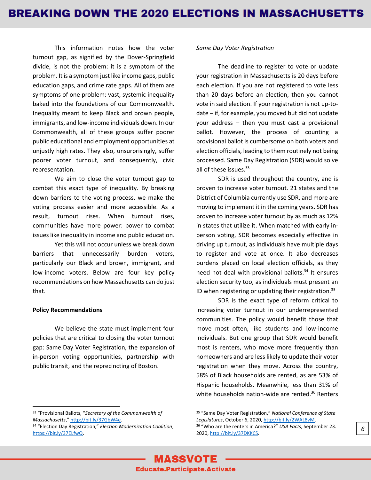This information notes how the voter turnout gap, as signified by the Dover-Springfield divide, is not the problem: it is a symptom of the problem. It is a symptom just like income gaps, public education gaps, and crime rate gaps. All of them are symptoms of one problem: vast, systemic inequality baked into the foundations of our Commonwealth. Inequality meant to keep Black and brown people, immigrants, and low-income individuals down. In our Commonwealth, all of these groups suffer poorer public educational and employment opportunities at unjustly high rates. They also, unsurprisingly, suffer poorer voter turnout, and consequently, civic representation.

We aim to close the voter turnout gap to combat this exact type of inequality. By breaking down barriers to the voting process, we make the voting process easier and more accessible. As a result, turnout rises. When turnout rises, communities have more power: power to combat issues like inequality in income and public education.

Yet this will not occur unless we break down barriers that unnecessarily burden voters, particularly our Black and brown, immigrant, and low-income voters. Below are four key policy recommendations on how Massachusetts can do just that.

#### **Policy Recommendations**

We believe the state must implement four policies that are critical to closing the voter turnout gap: Same Day Voter Registration, the expansion of in-person voting opportunities, partnership with public transit, and the reprecincting of Boston.

#### *Same Day Voter Registration*

The deadline to register to vote or update your registration in Massachusetts is 20 days before each election. If you are not registered to vote less than 20 days before an election, then you cannot vote in said election. If your registration is not up-todate – if, for example, you moved but did not update your address – then you must cast a provisional ballot. However, the process of counting a provisional ballot is cumbersome on both voters and election officials, leading to them routinely not being processed. Same Day Registration (SDR) would solve all of these issues.<sup>33</sup>

SDR is used throughout the country, and is proven to increase voter turnout. 21 states and the District of Columbia currently use SDR, and more are moving to implement it in the coming years. SDR has proven to increase voter turnout by as much as 12% in states that utilize it. When matched with early inperson voting, SDR becomes especially effective in driving up turnout, as individuals have multiple days to register and vote at once. It also decreases burdens placed on local election officials, as they need not deal with provisional ballots.<sup>34</sup> It ensures election security too, as individuals must present an ID when registering or updating their registration.<sup>35</sup>

SDR is the exact type of reform critical to increasing voter turnout in our underrepresented communities. The policy would benefit those that move most often, like students and low-income individuals. But one group that SDR would benefit most is renters, who move more frequently than homeowners and are less likely to update their voter registration when they move. Across the country, 58% of Black households are rented, as are 53% of Hispanic households. Meanwhile, less than 31% of white households nation-wide are rented.<sup>36</sup> Renters



<sup>33</sup> "Provisional Ballots, "*Secretary of the Commonwealth of Massachusetts*," [http://bit.ly/37GbW4e.](http://bit.ly/37GbW4e) 

<sup>34</sup> "Election Day Registration," *Election Modernization Coalition*, [https://bit.ly/37ELfwQ.](https://bit.ly/37ELfwQ)

<sup>35</sup> "Same Day Voter Registration," *National Conference of State Legislatures*, October 6, 2020[, http://bit.ly/2WAL8vM.](http://bit.ly/2WAL8vM) <sup>36</sup> "Who are the renters in America?" *USA Facts*, September 23. 2020[, http://bit.ly/37DKKCS.](http://bit.ly/37DKKCS)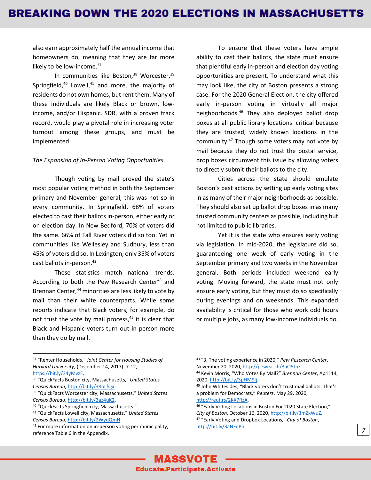also earn approximately half the annual income that homeowners do, meaning that they are far more likely to be low-income.<sup>37</sup>

In communities like Boston, $38$  Worcester, $39$ Springfield, $40$  Lowell, $41$  and more, the majority of residents do not own homes, but rent them. Many of these individuals are likely Black or brown, lowincome, and/or Hispanic. SDR, with a proven track record, would play a pivotal role in increasing voter turnout among these groups, and must be implemented.

#### *The Expansion of In-Person Voting Opportunities*

Though voting by mail proved the state's most popular voting method in both the September primary and November general, this was not so in every community. In Springfield, 68% of voters elected to cast their ballots in-person, either early or on election day. In New Bedford, 70% of voters did the same. 66% of Fall River voters did so too. Yet in communities like Wellesley and Sudbury, less than 45% of voters did so. In Lexington, only 35% of voters cast ballots in-person.<sup>42</sup>

These statistics match national trends. According to both the Pew Research Center<sup>43</sup> and Brennan Center,<sup>44</sup> minorities are less likely to vote by mail than their white counterparts. While some reports indicate that Black voters, for example, do not trust the vote by mail process, <sup>45</sup> it is clear that Black and Hispanic voters turn out in person more than they do by mail.

To ensure that these voters have ample ability to cast their ballots, the state must ensure that plentiful early in-person and election day voting opportunities are present. To understand what this may look like, the city of Boston presents a strong case. For the 2020 General Election, the city offered early in-person voting in virtually all major neighborhoods.<sup>46</sup> They also deployed ballot drop boxes at all public library locations: critical because they are trusted, widely known locations in the community.<sup>47</sup> Though some voters may not vote by mail because they do not trust the postal service, drop boxes circumvent this issue by allowing voters to directly submit their ballots to the city.

Cities across the state should emulate Boston's past actions by setting up early voting sites in as many of their major neighborhoods as possible. They should also set up ballot drop boxes in as many trusted community centers as possible, including but not limited to public libraries.

Yet it is the state who ensures early voting via legislation. In mid-2020, the legislature did so, guaranteeing one week of early voting in the September primary and two weeks in the November general. Both periods included weekend early voting. Moving forward, the state must not only ensure early voting, but they must do so specifically during evenings and on weekends. This expanded availability is critical for those who work odd hours or multiple jobs, as many low-income individuals do.

<sup>38</sup> "QuickFacts Boston city, Massachusetts," *United States Census Bureau*[, http://bit.ly/38oLfQx.](http://bit.ly/38oLfQx)

[http://reut.rs/2KX7RzA.](http://reut.rs/2KX7RzA) 

<sup>37</sup> "Renter Households," *Joint Center for Housing Studies of Harvard University*, (December 14, 2017): 7-12, [https://bit.ly/34yMvzE.](https://bit.ly/34yMvzE)

<sup>39</sup> "QuickFacts Worcester city, Massachusetts," *United States Census Bureau*[, http://bit.ly/3az4uK2.](http://bit.ly/3az4uK2)

<sup>40</sup> "QuickFacts Springfield city, Massachusetts."

<sup>41</sup> "QuickFacts Lowell city, Massachusetts," *United States Census Bureau*[, http://bit.ly/2WyqQmH.](http://bit.ly/2WyqQmH) 

<sup>42</sup> For more information on in-person voting per municipality, reference Table 6 in the Appendix.

<sup>43</sup> "3. The voting experience in 2020," *Pew Research Center*, November 20, 2020[, http://pewrsr.ch/3aO5tpz.](http://pewrsr.ch/3aO5tpz)

<sup>44</sup> Kevin Morris, "Who Votes By Mail?" *Brennan Center*, April 14, 2020[, http://bit.ly/3pHM9ij.](http://bit.ly/3pHM9ij) 

<sup>45</sup> John Whitesides, "Black voters don't trust mail ballots. That's a problem for Democrats," *Reuters*, May 29, 2020,

<sup>46</sup> "Early Voting Locations in Boston For 2020 State Election," *City of Boston*, October 16, 2020[, http://bit.ly/3mZxWuZ.](http://bit.ly/3mZxWuZ) <sup>47</sup> "Early Voting and Dropbox Locations," *City of Boston*, [http://bit.ly/3aNFqPn.](http://bit.ly/3aNFqPn)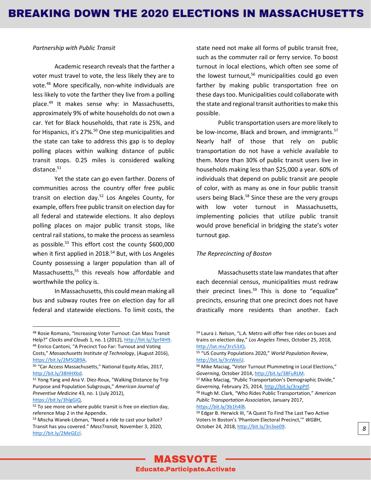#### *Partnership with Public Transit*

Academic research reveals that the farther a voter must travel to vote, the less likely they are to vote.<sup>48</sup> More specifically, non-white individuals are less likely to vote the farther they live from a polling place.<sup>49</sup> It makes sense why: in Massachusetts, approximately 9% of white households do not own a car. Yet for Black households, that rate is 25%, and for Hispanics, it's 27%.<sup>50</sup> One step municipalities and the state can take to address this gap is to deploy polling places within walking distance of public transit stops. 0.25 miles is considered walking distance.<sup>51</sup>

Yet the state can go even farther. Dozens of communities across the country offer free public transit on election day.<sup>52</sup> Los Angeles County, for example, offers free public transit on election day for all federal and statewide elections. It also deploys polling places on major public transit stops, like central rail stations, to make the process as seamless as possible.<sup>53</sup> This effort cost the county \$600,000 when it first applied in 2018.<sup>54</sup> But, with Los Angeles County possessing a larger population than all of Massachusetts, <sup>55</sup> this reveals how affordable and worthwhile the policy is.

In Massachusetts, this could mean making all bus and subway routes free on election day for all federal and statewide elections. To limit costs, the state need not make all forms of public transit free, such as the commuter rail or ferry service. To boost turnout in local elections, which often see some of the lowest turnout,<sup>56</sup> municipalities could go even farther by making public transportation free on these days too. Municipalities could collaborate with the state and regional transit authorities to make this possible.

Public transportation users are more likely to be low-income, Black and brown, and immigrants.<sup>57</sup> Nearly half of those that rely on public transportation do not have a vehicle available to them. More than 30% of public transit users live in households making less than \$25,000 a year. 60% of individuals that depend on public transit are people of color, with as many as one in four public transit users being Black.<sup>58</sup> Since these are the very groups with low voter turnout in Massachusetts, implementing policies that utilize public transit would prove beneficial in bridging the state's voter turnout gap.

#### *The Reprecincting of Boston*

Massachusetts state law mandates that after each decennial census, municipalities must redraw their precinct lines. $59$  This is done to "equalize" precincts, ensuring that one precinct does not have drastically more residents than another. Each

<sup>58</sup> Hugh M. Clark, "Who Rides Public Transportation," *American Public Transportation Association*, January 2017, [https://bit.ly/3b1h4lB.](https://bit.ly/3b1h4lB)

<sup>48</sup> Rosie Romano, "Increasing Voter Turnout: Can Mass Transit Help?" *Clocks and Clouds* 1, no. 1 (2012), [http://bit.ly/3prf4H9.](http://bit.ly/3prf4H9)  <sup>49</sup> Enrico Cantoni, "A Precinct Too Far: Turnout and Voting Costs," *Massachusetts Institute of Technology*, (August 2016),

[https://bit.ly/2M5Q89A.](https://bit.ly/2M5Q89A)  <sup>50</sup> "Car Access Massachusetts," National Equity Atlas, 2017,

[http://bit.ly/38HHXbd.](http://bit.ly/38HHXbd)

<sup>51</sup> Yong Yang and Ana V. Diez-Roux, "Walking Distance by Trip Purpose and Population Subgroups," *American Journal of Preventive Medicine* 43, no. 1 (July 2012),

[https://bit.ly/3hlgGiQ.](https://bit.ly/3hlgGiQ) 

<sup>52</sup> To see more on where public transit is free on election day, reference Map 2 in the Appendix.

<sup>53</sup> Mischa Wanek-Libman, "Need a ride to cast your ballot? Transit has you covered." *MassTransit,* November 3, 2020, [http://bit.ly/2MeGEcl.](http://bit.ly/2MeGEcl)

<sup>54</sup> Laura J. Nelson, "L.A. Metro will offer free rides on buses and trains on election day," *Los Angeles Times*, October 25, 2018, [http://lat.ms/3rz53JQ.](http://lat.ms/3rz53JQ)

<sup>55</sup> "US County Populations 2020," *World Population Review*, [http://bit.ly/3rzWeiU.](http://bit.ly/3rzWeiU)

<sup>56</sup> Mike Maciag, "Voter Turnout Plummeting in Local Elections," *Governing*, October 2014[, http://bit.ly/38FuRLM.](http://bit.ly/38FuRLM)

<sup>57</sup> Mike Maciag, "Public Transportation's Demographic Divide," *Governing*, February 25, 2014[, http://bit.ly/3rxpPtf.](http://bit.ly/3rxpPtf)

<sup>59</sup> Edgar B. Herwick III, "A Quest To Find The Last Two Active Voters In Boston's 'Phantom Electoral Precinct,'" *WGBH*, October 24, 2018, [http://bit.ly/3n3xe09.](http://bit.ly/3n3xe09) *8*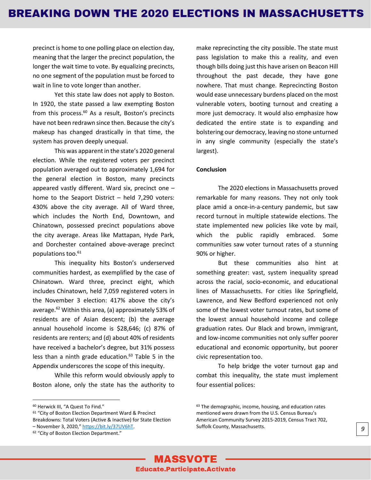precinct is home to one polling place on election day, meaning that the larger the precinct population, the longer the wait time to vote. By equalizing precincts, no one segment of the population must be forced to wait in line to vote longer than another.

Yet this state law does not apply to Boston. In 1920, the state passed a law exempting Boston from this process.<sup>60</sup> As a result, Boston's precincts have not been redrawn since then. Because the city's makeup has changed drastically in that time, the system has proven deeply unequal.

This was apparent in the state's 2020 general election. While the registered voters per precinct population averaged out to approximately 1,694 for the general election in Boston, many precincts appeared vastly different. Ward six, precinct one – home to the Seaport District – held 7,290 voters: 430% above the city average. All of Ward three, which includes the North End, Downtown, and Chinatown, possessed precinct populations above the city average. Areas like Mattapan, Hyde Park, and Dorchester contained above-average precinct populations too.<sup>61</sup>

This inequality hits Boston's underserved communities hardest, as exemplified by the case of Chinatown. Ward three, precinct eight, which includes Chinatown, held 7,059 registered voters in the November 3 election: 417% above the city's average. $62$  Within this area, (a) approximately 53% of residents are of Asian descent; (b) the average annual household income is \$28,646; (c) 87% of residents are renters; and (d) about 40% of residents have received a bachelor's degree, but 31% possess less than a ninth grade education.<sup>63</sup> Table 5 in the Appendix underscores the scope of this inequity.

While this reform would obviously apply to Boston alone, only the state has the authority to make reprecincting the city possible. The state must pass legislation to make this a reality, and even though bills doing just this have arisen on Beacon Hill throughout the past decade, they have gone nowhere. That must change. Reprecincting Boston would ease unnecessary burdens placed on the most vulnerable voters, booting turnout and creating a more just democracy. It would also emphasize how dedicated the entire state is to expanding and bolstering our democracy, leaving no stone unturned in any single community (especially the state's largest).

#### **Conclusion**

The 2020 elections in Massachusetts proved remarkable for many reasons. They not only took place amid a once-in-a-century pandemic, but saw record turnout in multiple statewide elections. The state implemented new policies like vote by mail, which the public rapidly embraced. Some communities saw voter turnout rates of a stunning 90% or higher.

But these communities also hint at something greater: vast, system inequality spread across the racial, socio-economic, and educational lines of Massachusetts. For cities like Springfield, Lawrence, and New Bedford experienced not only some of the lowest voter turnout rates, but some of the lowest annual household income and college graduation rates. Our Black and brown, immigrant, and low-income communities not only suffer poorer educational and economic opportunity, but poorer civic representation too.

To help bridge the voter turnout gap and combat this inequality, the state must implement four essential polices:

<sup>60</sup> Herwick III, "A Quest To Find."

<sup>61</sup> "City of Boston Election Department Ward & Precinct Breakdowns: Total Voters (Active & Inactive) for State Election – November 3, 2020," [https://bit.ly/37UV6hT.](https://bit.ly/37UV6hT)

<sup>&</sup>lt;sup>62</sup> "City of Boston Election Department."

<sup>&</sup>lt;sup>63</sup> The demographic, income, housing, and education rates mentioned were drawn from the U.S. Census Bureau's American Community Survey 2015-2019, Census Tract 702, Suffolk County, Massachusetts. *9*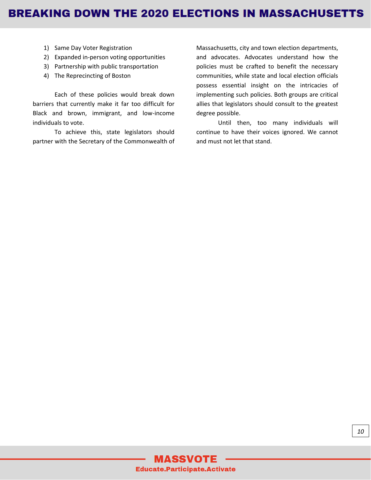- 1) Same Day Voter Registration
- 2) Expanded in-person voting opportunities
- 3) Partnership with public transportation
- 4) The Reprecincting of Boston

Each of these policies would break down barriers that currently make it far too difficult for Black and brown, immigrant, and low-income individuals to vote.

To achieve this, state legislators should partner with the Secretary of the Commonwealth of Massachusetts, city and town election departments, and advocates. Advocates understand how the policies must be crafted to benefit the necessary communities, while state and local election officials possess essential insight on the intricacies of implementing such policies. Both groups are critical allies that legislators should consult to the greatest degree possible.

Until then, too many individuals will continue to have their voices ignored. We cannot and must not let that stand.

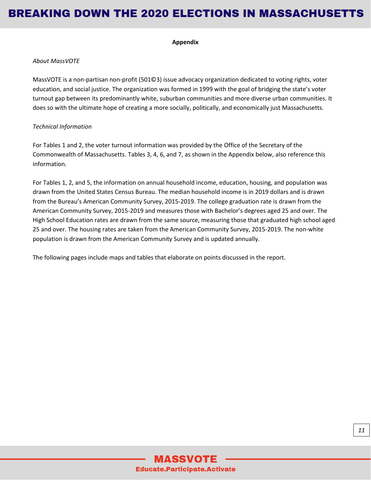#### **Appendix**

#### *About MassVOTE*

MassVOTE is a non-partisan non-profit (501©3) issue advocacy organization dedicated to voting rights, voter education, and social justice. The organization was formed in 1999 with the goal of bridging the state's voter turnout gap between its predominantly white, suburban communities and more diverse urban communities. It does so with the ultimate hope of creating a more socially, politically, and economically just Massachusetts.

#### *Technical Information*

For Tables 1 and 2, the voter turnout information was provided by the Office of the Secretary of the Commonwealth of Massachusetts. Tables 3, 4, 6, and 7, as shown in the Appendix below, also reference this information.

For Tables 1, 2, and 5, the information on annual household income, education, housing, and population was drawn from the United States Census Bureau. The median household income is in 2019 dollars and is drawn from the Bureau's American Community Survey, 2015-2019. The college graduation rate is drawn from the American Community Survey, 2015-2019 and measures those with Bachelor's degrees aged 25 and over. The High School Education rates are drawn from the same source, measuring those that graduated high school aged 25 and over. The housing rates are taken from the American Community Survey, 2015-2019. The non-white population is drawn from the American Community Survey and is updated annually.

The following pages include maps and tables that elaborate on points discussed in the report.

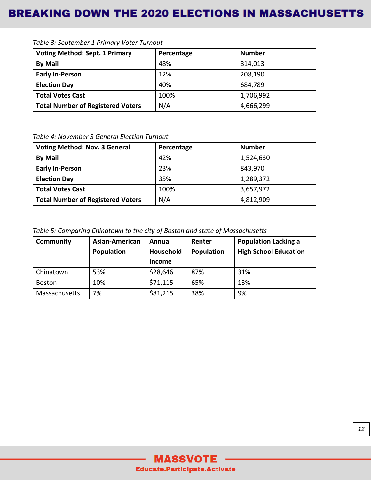| <b>Voting Method: Sept. 1 Primary</b>    | Percentage | <b>Number</b> |
|------------------------------------------|------------|---------------|
| <b>By Mail</b>                           | 48%        | 814,013       |
| <b>Early In-Person</b>                   | 12%        | 208,190       |
| <b>Election Day</b>                      | 40%        | 684,789       |
| <b>Total Votes Cast</b>                  | 100%       | 1,706,992     |
| <b>Total Number of Registered Voters</b> | N/A        | 4,666,299     |

*Table 3: September 1 Primary Voter Turnout*

*Table 4: November 3 General Election Turnout*

| <b>Voting Method: Nov. 3 General</b>     | Percentage | <b>Number</b> |
|------------------------------------------|------------|---------------|
| <b>By Mail</b>                           | 42%        | 1,524,630     |
| <b>Early In-Person</b>                   | 23%        | 843,970       |
| <b>Election Day</b>                      | 35%        | 1,289,372     |
| <b>Total Votes Cast</b>                  | 100%       | 3,657,972     |
| <b>Total Number of Registered Voters</b> | N/A        | 4,812,909     |

*Table 5: Comparing Chinatown to the city of Boston and state of Massachusetts*

| <b>Community</b> | Asian-American | Annual        | Renter     | <b>Population Lacking a</b>  |
|------------------|----------------|---------------|------------|------------------------------|
|                  | Population     | Household     | Population | <b>High School Education</b> |
|                  |                | <b>Income</b> |            |                              |
| Chinatown        | 53%            | \$28,646      | 87%        | 31%                          |
| <b>Boston</b>    | 10%            | \$71,115      | 65%        | 13%                          |
| Massachusetts    | 7%             | \$81,215      | 38%        | 9%                           |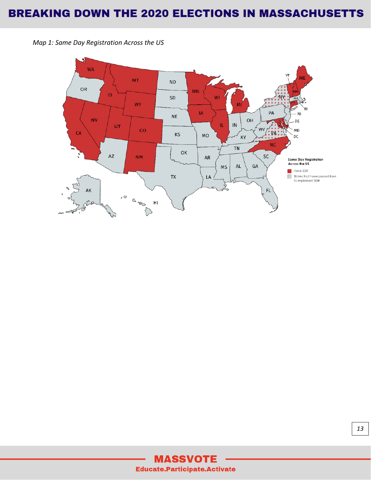

*Map 1: Same Day Registration Across the US*

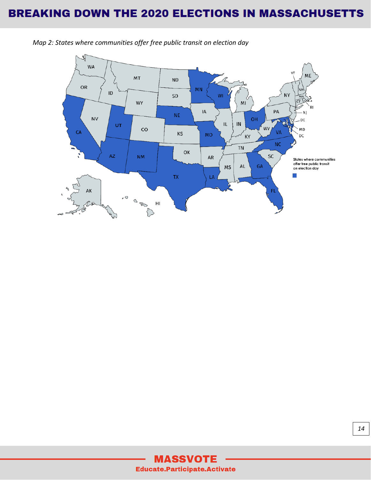

*Map 2: States where communities offer free public transit on election day*

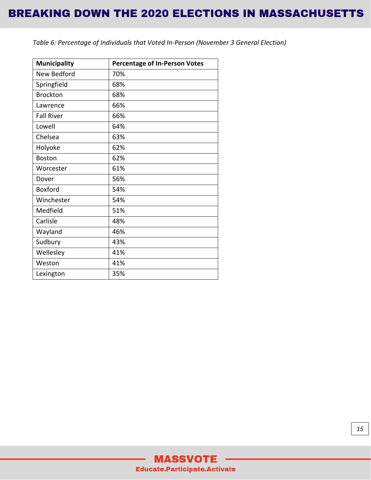*Table 6: Percentage of Individuals that Voted In-Person (November 3 General Election)*

| <b>Municipality</b> | <b>Percentage of In-Person Votes</b> |
|---------------------|--------------------------------------|
| New Bedford         | 70%                                  |
| Springfield         | 68%                                  |
| <b>Brockton</b>     | 68%                                  |
| Lawrence            | 66%                                  |
| <b>Fall River</b>   | 66%                                  |
| Lowell              | 64%                                  |
| Chelsea             | 63%                                  |
| Holyoke             | 62%                                  |
| <b>Boston</b>       | 62%                                  |
| Worcester           | 61%                                  |
| Dover               | 56%                                  |
| <b>Boxford</b>      | 54%                                  |
| Winchester          | 54%                                  |
| Medfield            | 51%                                  |
| Carlisle            | 48%                                  |
| Wayland             | 46%                                  |
| Sudbury             | 43%                                  |
| Wellesley           | 41%                                  |
| Weston              | 41%                                  |
| Lexington           | 35%                                  |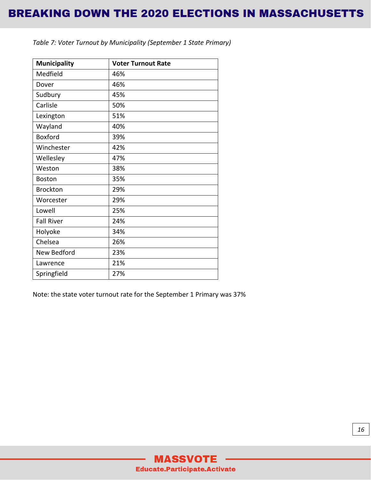| <b>Municipality</b> | <b>Voter Turnout Rate</b> |
|---------------------|---------------------------|
| Medfield            | 46%                       |
| Dover               | 46%                       |
| Sudbury             | 45%                       |
| Carlisle            | 50%                       |
| Lexington           | 51%                       |
| Wayland             | 40%                       |
| Boxford             | 39%                       |
| Winchester          | 42%                       |
| Wellesley           | 47%                       |
| Weston              | 38%                       |
| <b>Boston</b>       | 35%                       |
| <b>Brockton</b>     | 29%                       |
| Worcester           | 29%                       |
| Lowell              | 25%                       |
| <b>Fall River</b>   | 24%                       |
| Holyoke             | 34%                       |
| Chelsea             | 26%                       |
| New Bedford         | 23%                       |
| Lawrence            | 21%                       |
| Springfield         | 27%                       |

*Table 7: Voter Turnout by Municipality (September 1 State Primary)*

Note: the state voter turnout rate for the September 1 Primary was 37%

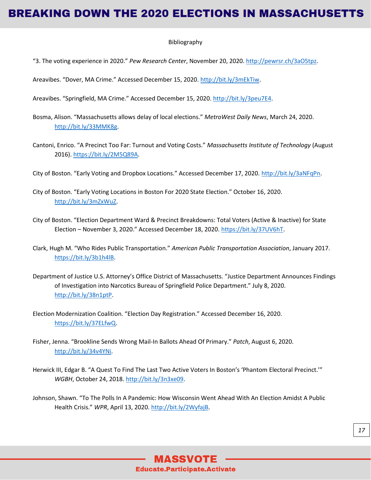#### Bibliography

"3. The voting experience in 2020." *Pew Research Center*, November 20, 2020. [http://pewrsr.ch/3aO5tpz.](http://pewrsr.ch/3aO5tpz)

Areavibes. "Dover, MA Crime." Accessed December 15, 2020. [http://bit.ly/3mEkTiw.](http://bit.ly/3mEkTiw)

Areavibes. "Springfield, MA Crime." Accessed December 15, 2020[. http://bit.ly/3peu7E4.](http://bit.ly/3peu7E4)

- Bosma, Alison. "Massachusetts allows delay of local elections." *MetroWest Daily News*, March 24, 2020. [http://bit.ly/33MMK8g.](http://bit.ly/33MMK8g)
- Cantoni, Enrico. "A Precinct Too Far: Turnout and Voting Costs." *Massachusetts Institute of Technology* (August 2016). [https://bit.ly/2M5Q89A.](https://bit.ly/2M5Q89A)
- City of Boston. "Early Voting and Dropbox Locations." Accessed December 17, 2020. [http://bit.ly/3aNFqPn.](http://bit.ly/3aNFqPn)
- City of Boston. "Early Voting Locations in Boston For 2020 State Election." October 16, 2020. [http://bit.ly/3mZxWuZ.](http://bit.ly/3mZxWuZ)
- City of Boston. "Election Department Ward & Precinct Breakdowns: Total Voters (Active & Inactive) for State Election – November 3, 2020." Accessed December 18, 2020. [https://bit.ly/37UV6hT.](https://bit.ly/37UV6hT)
- Clark, Hugh M. "Who Rides Public Transportation." *American Public Transportation Association*, January 2017. [https://bit.ly/3b1h4lB.](https://bit.ly/3b1h4lB)
- Department of Justice U.S. Attorney's Office District of Massachusetts. "Justice Department Announces Findings of Investigation into Narcotics Bureau of Springfield Police Department." July 8, 2020. [http://bit.ly/38n1ptP.](http://bit.ly/38n1ptP)
- Election Modernization Coalition. "Election Day Registration." Accessed December 16, 2020. [https://bit.ly/37ELfwQ.](https://bit.ly/37ELfwQ)
- Fisher, Jenna. "Brookline Sends Wrong Mail-In Ballots Ahead Of Primary." *Patch*, August 6, 2020. [http://bit.ly/34v4YNi.](http://bit.ly/34v4YNi)
- Herwick III, Edgar B. "A Quest To Find The Last Two Active Voters In Boston's 'Phantom Electoral Precinct.'" *WGBH*, October 24, 2018[. http://bit.ly/3n3xe09.](http://bit.ly/3n3xe09)
- Johnson, Shawn. "To The Polls In A Pandemic: How Wisconsin Went Ahead With An Election Amidst A Public Health Crisis." *WPR*, April 13, 2020[. http://bit.ly/2WyfajB.](http://bit.ly/2WyfajB)

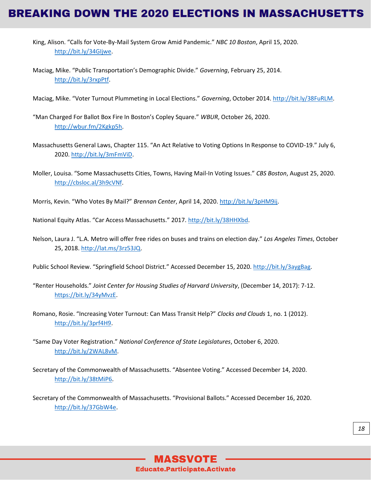- King, Alison. "Calls for Vote-By-Mail System Grow Amid Pandemic." *NBC 10 Boston*, April 15, 2020. [http://bit.ly/34GIjwe.](http://bit.ly/34GIjwe)
- Maciag, Mike. "Public Transportation's Demographic Divide." *Governing*, February 25, 2014. [http://bit.ly/3rxpPtf.](http://bit.ly/3rxpPtf)
- Maciag, Mike. "Voter Turnout Plummeting in Local Elections." *Governing*, October 2014[. http://bit.ly/38FuRLM.](http://bit.ly/38FuRLM)
- "Man Charged For Ballot Box Fire In Boston's Copley Square." *WBUR*, October 26, 2020. [http://wbur.fm/2Kgkp5h.](http://wbur.fm/2Kgkp5h)
- Massachusetts General Laws, Chapter 115. "An Act Relative to Voting Options In Response to COVID-19." July 6, 2020[. http://bit.ly/3mFmViD.](http://bit.ly/3mFmViD)
- Moller, Louisa. "Some Massachusetts Cities, Towns, Having Mail-In Voting Issues." *CBS Boston*, August 25, 2020. [http://cbsloc.al/3h9cVNf.](http://cbsloc.al/3h9cVNf)
- Morris, Kevin. "Who Votes By Mail?" *Brennan Center*, April 14, 2020[. http://bit.ly/3pHM9ij.](http://bit.ly/3pHM9ij)
- National Equity Atlas. "Car Access Massachusetts." 2017. [http://bit.ly/38HHXbd.](http://bit.ly/38HHXbd)
- Nelson, Laura J. "L.A. Metro will offer free rides on buses and trains on election day." *Los Angeles Times*, October 25, 2018. [http://lat.ms/3rz53JQ.](http://lat.ms/3rz53JQ)
- Public School Review. "Springfield School District." Accessed December 15, 2020. [http://bit.ly/3aygBag.](http://bit.ly/3aygBag)
- "Renter Households." *Joint Center for Housing Studies of Harvard University*, (December 14, 2017): 7-12. [https://bit.ly/34yMvzE.](https://bit.ly/34yMvzE)
- Romano, Rosie. "Increasing Voter Turnout: Can Mass Transit Help?" *Clocks and Clouds* 1, no. 1 (2012). [http://bit.ly/3prf4H9.](http://bit.ly/3prf4H9)
- "Same Day Voter Registration." *National Conference of State Legislatures*, October 6, 2020. [http://bit.ly/2WAL8vM.](http://bit.ly/2WAL8vM)
- Secretary of the Commonwealth of Massachusetts. "Absentee Voting." Accessed December 14, 2020. [http://bit.ly/38tMiP6.](http://bit.ly/38tMiP6)
- Secretary of the Commonwealth of Massachusetts. "Provisional Ballots." Accessed December 16, 2020. [http://bit.ly/37GbW4e.](http://bit.ly/37GbW4e)

**MASSVOTE Educate.Participate.Activate**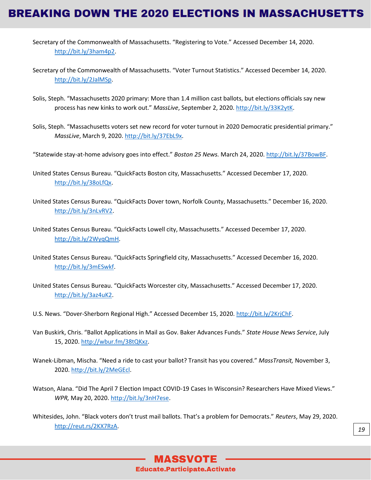- Secretary of the Commonwealth of Massachusetts. "Registering to Vote." Accessed December 14, 2020. [http://bit.ly/3ham4p2.](http://bit.ly/3ham4p2)
- Secretary of the Commonwealth of Massachusetts. "Voter Turnout Statistics." Accessed December 14, 2020. [http://bit.ly/2JalMSp.](http://bit.ly/2JalMSp)
- Solis, Steph. "Massachusetts 2020 primary: More than 1.4 million cast ballots, but elections officials say new process has new kinks to work out." *MassLive*, September 2, 2020[. http://bit.ly/33K2ytK.](http://bit.ly/33K2ytK)
- Solis, Steph. "Massachusetts voters set new record for voter turnout in 2020 Democratic presidential primary." *MassLive*, March 9, 2020. [http://bit.ly/37EbL9x.](http://bit.ly/37EbL9x)
- "Statewide stay-at-home advisory goes into effect." *Boston 25 News.* March 24, 2020[. http://bit.ly/37BowBF.](http://bit.ly/37BowBF)
- United States Census Bureau. "QuickFacts Boston city, Massachusetts." Accessed December 17, 2020. [http://bit.ly/38oLfQx.](http://bit.ly/38oLfQx)
- United States Census Bureau. "QuickFacts Dover town, Norfolk County, Massachusetts." December 16, 2020. [http://bit.ly/3nLvRV2.](http://bit.ly/3nLvRV2)
- United States Census Bureau. "QuickFacts Lowell city, Massachusetts." Accessed December 17, 2020. [http://bit.ly/2WyqQmH.](http://bit.ly/2WyqQmH)
- United States Census Bureau. "QuickFacts Springfield city, Massachusetts." Accessed December 16, 2020. [http://bit.ly/3mESwkf.](http://bit.ly/3mESwkf)
- United States Census Bureau. "QuickFacts Worcester city, Massachusetts." Accessed December 17, 2020. [http://bit.ly/3az4uK2.](http://bit.ly/3az4uK2)
- U.S. News. "Dover-Sherborn Regional High." Accessed December 15, 2020. [http://bit.ly/2KrjChF.](http://bit.ly/2KrjChF)
- Van Buskirk, Chris. "Ballot Applications in Mail as Gov. Baker Advances Funds." *State House News Service*, July 15, 2020. [http://wbur.fm/38tQKxz.](http://wbur.fm/38tQKxz)
- Wanek-Libman, Mischa. "Need a ride to cast your ballot? Transit has you covered." *MassTransit,* November 3, 2020[. http://bit.ly/2MeGEcl.](http://bit.ly/2MeGEcl)
- Watson, Alana. "Did The April 7 Election Impact COVID-19 Cases In Wisconsin? Researchers Have Mixed Views." *WPR,* May 20, 2020. [http://bit.ly/3nH7ese.](http://bit.ly/3nH7ese)
- Whitesides, John. "Black voters don't trust mail ballots. That's a problem for Democrats." *Reuters*, May 29, 2020. [http://reut.rs/2KX7RzA.](http://reut.rs/2KX7RzA) *19*

### **MASSVOTE Educate.Participate.Activate**